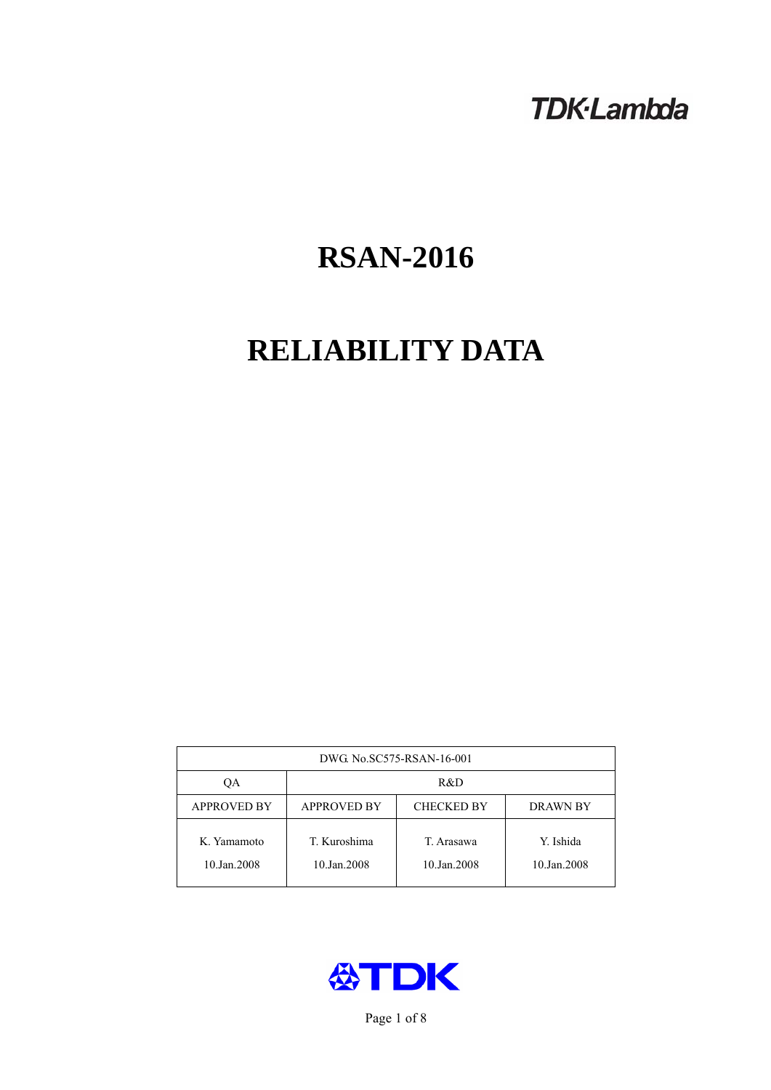## **TDK-Lambda**

# **RSAN-2016**

# **RELIABILITY DATA**

| DWG No.SC575-RSAN-16-001   |                                                            |                           |                          |  |  |
|----------------------------|------------------------------------------------------------|---------------------------|--------------------------|--|--|
| QA                         | R&D                                                        |                           |                          |  |  |
| <b>APPROVED BY</b>         | <b>APPROVED BY</b><br><b>CHECKED BY</b><br><b>DRAWN BY</b> |                           |                          |  |  |
| K. Yamamoto<br>10.Jan.2008 | T. Kuroshima<br>10.Jan.2008                                | T. Arasawa<br>10.Jan.2008 | Y. Ishida<br>10.Jan.2008 |  |  |



Page 1 of 8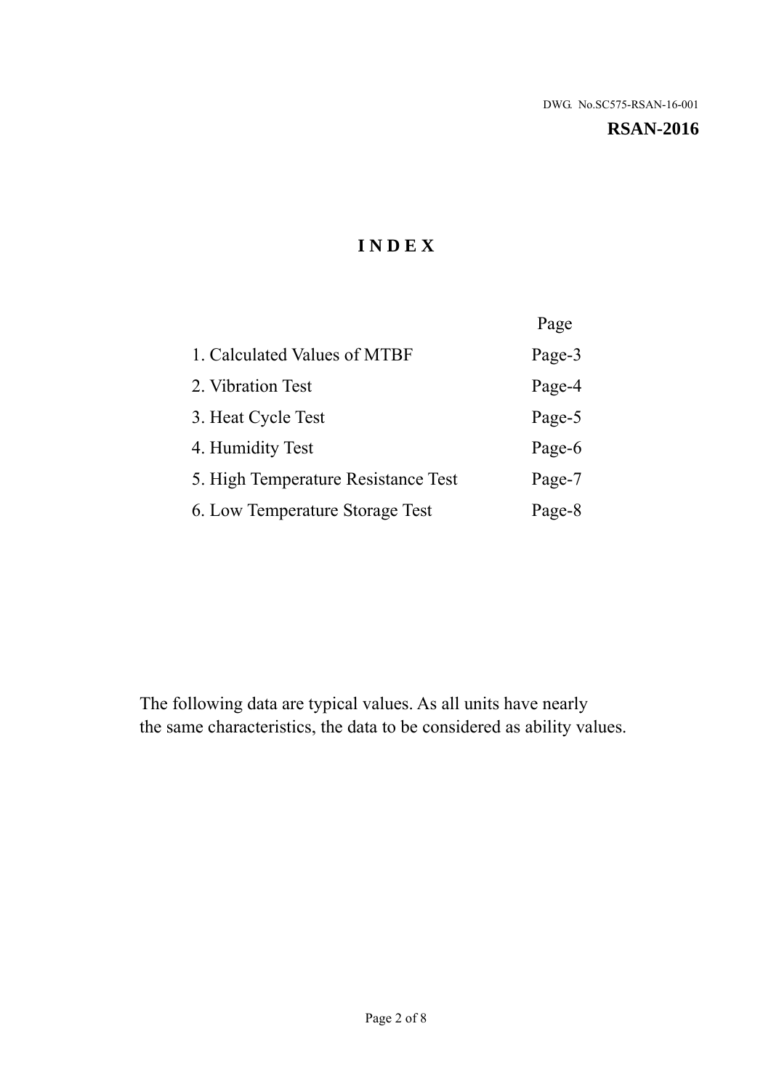**RSAN-2016** 

## **I N D E X**

|                                     | Page   |
|-------------------------------------|--------|
| 1. Calculated Values of MTBF        | Page-3 |
| 2. Vibration Test                   | Page-4 |
| 3. Heat Cycle Test                  | Page-5 |
| 4. Humidity Test                    | Page-6 |
| 5. High Temperature Resistance Test | Page-7 |
| 6. Low Temperature Storage Test     | Page-8 |

The following data are typical values. As all units have nearly the same characteristics, the data to be considered as ability values.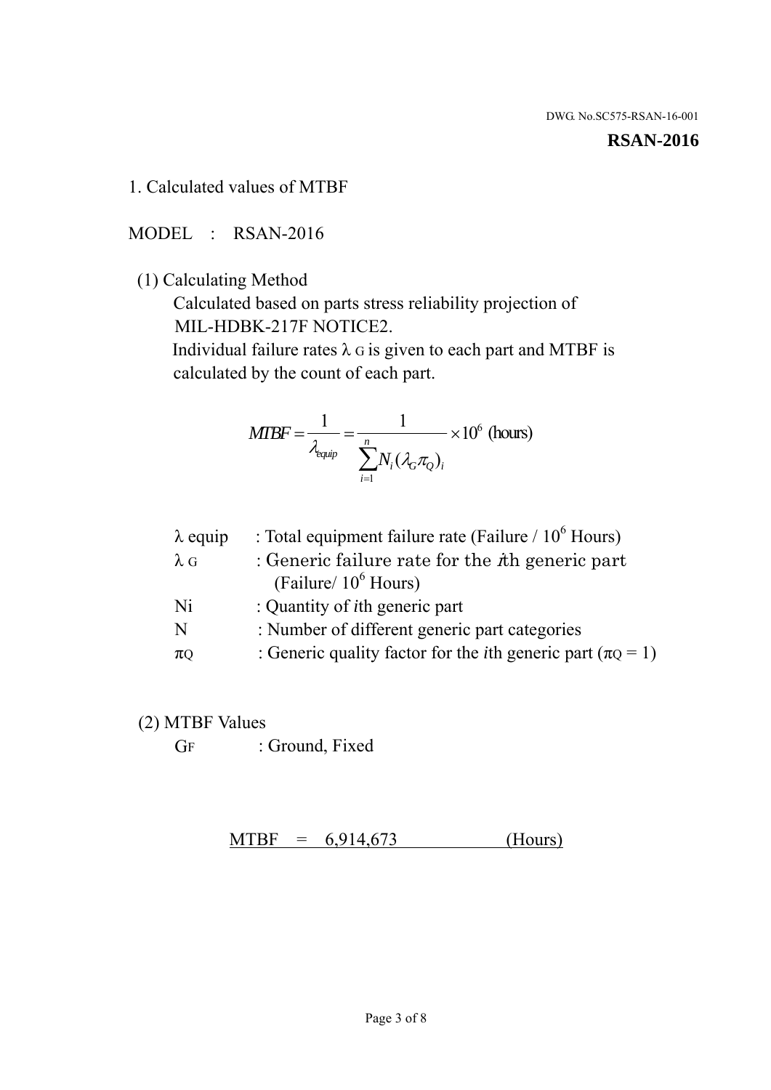#### **RSAN-2016**

1. Calculated values of MTBF

MODEL : RSAN-2016

(1) Calculating Method

 Calculated based on parts stress reliability projection of MIL-HDBK-217F NOTICE2.

Individual failure rates  $\lambda$  G is given to each part and MTBF is calculated by the count of each part.

$$
MTBF = \frac{1}{\lambda_{\text{equip}}} = \frac{1}{\sum_{i=1}^{n} N_i (\lambda_G \pi_Q)_i} \times 10^6 \text{ (hours)}
$$

| $\lambda$ equip | : Total equipment failure rate (Failure $/ 10^6$ Hours)                   |
|-----------------|---------------------------------------------------------------------------|
| $\lambda$ G     | : Generic failure rate for the $\hbar$ generic part                       |
|                 | (Failure/ $10^6$ Hours)                                                   |
| Ni              | : Quantity of <i>i</i> th generic part                                    |
| N               | : Number of different generic part categories                             |
| $\pi$ Q         | : Generic quality factor for the <i>i</i> th generic part ( $\pi Q = 1$ ) |

- (2) MTBF Values
	- GF : Ground, Fixed

 $MTBF = 6,914,673$  (Hours)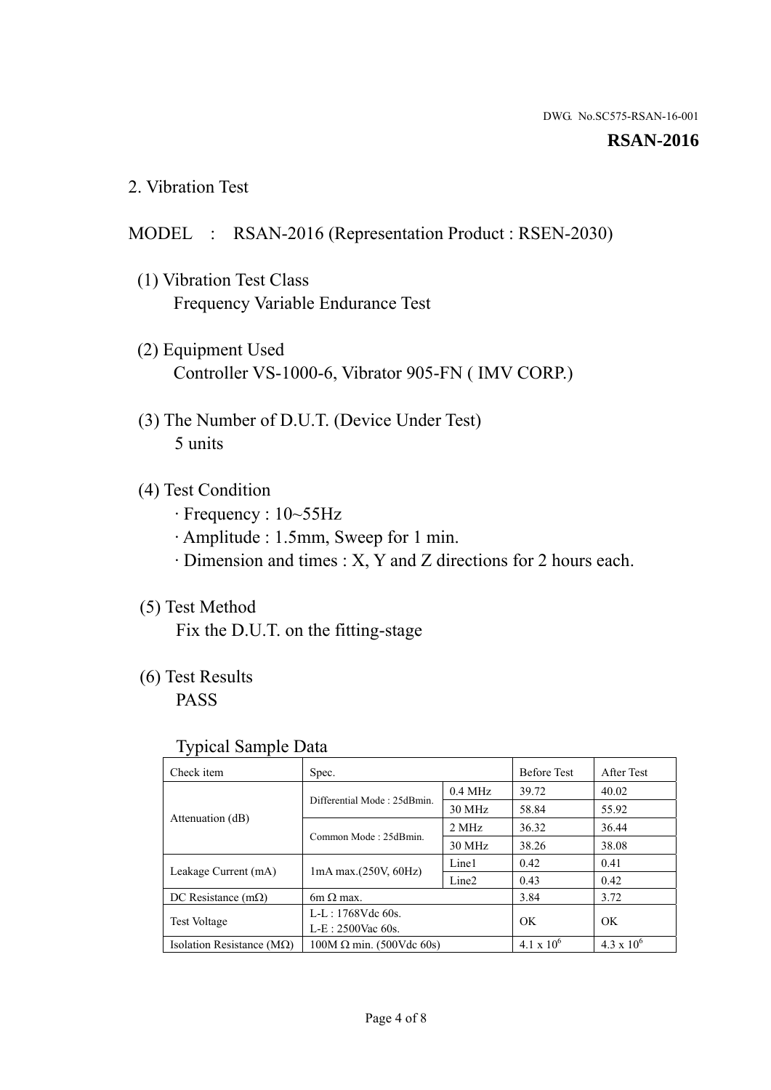#### **RSAN-2016**

2. Vibration Test

### MODEL : RSAN-2016 (Representation Product : RSEN-2030)

- (1) Vibration Test Class Frequency Variable Endurance Test
- (2) Equipment Used Controller VS-1000-6, Vibrator 905-FN ( IMV CORP.)
- (3) The Number of D.U.T. (Device Under Test) 5 units
- (4) Test Condition
	- · Frequency : 10~55Hz
	- · Amplitude : 1.5mm, Sweep for 1 min.
	- · Dimension and times : X, Y and Z directions for 2 hours each.

## (5) Test Method

Fix the D.U.T. on the fitting-stage

## (6) Test Results

PASS

#### Typical Sample Data

| . .                           |                                                         |           |                     |                     |
|-------------------------------|---------------------------------------------------------|-----------|---------------------|---------------------|
| Check item                    | Spec.                                                   |           | <b>Before Test</b>  | After Test          |
|                               | Differential Mode: 25dBmin.                             | $0.4$ MHz | 39.72               | 40.02               |
|                               |                                                         | 30 MHz    | 58.84               | 55.92               |
| Attenuation (dB)              | Common Mode: 25dBmin.                                   | 2 MHz     | 36.32               | 36.44               |
|                               |                                                         | 30 MHz    | 38.26               | 38.08               |
| Leakage Current (mA)          | Line1<br>$1mA$ max. $(250V, 60Hz)$<br>Line <sub>2</sub> |           | 0.42                | 0.41                |
|                               |                                                         |           | 0.43                | 0.42                |
| DC Resistance $(m\Omega)$     | $6m \Omega$ max.                                        |           | 3.84                | 3.72                |
| <b>Test Voltage</b>           | $L-L: 1768Vdc$ 60s.                                     |           | OK                  | OK.                 |
|                               | $L-E$ : 2500Vac 60s.                                    |           |                     |                     |
| Isolation Resistance ( $MQ$ ) | $100M \Omega$ min. (500Vdc 60s)                         |           | $4.1 \times 10^{6}$ | $4.3 \times 10^{6}$ |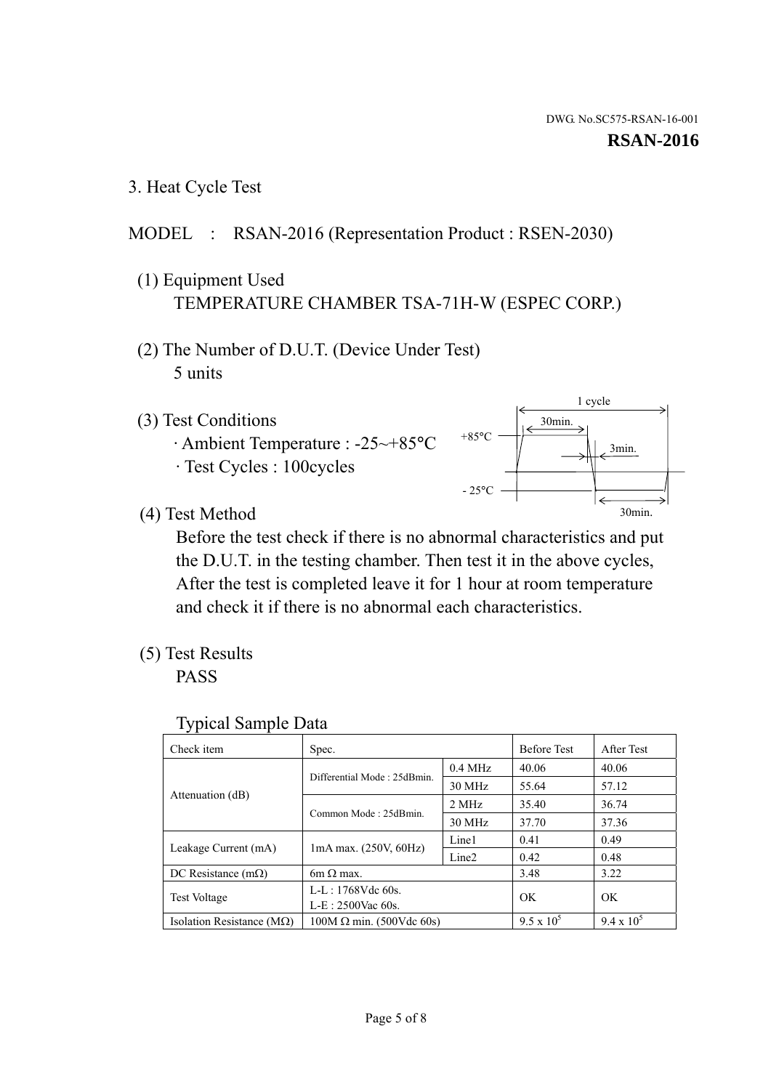3. Heat Cycle Test

### MODEL : RSAN-2016 (Representation Product : RSEN-2030)

- (1) Equipment Used TEMPERATURE CHAMBER TSA-71H-W (ESPEC CORP.)
- (2) The Number of D.U.T. (Device Under Test) 5 units
- (3) Test Conditions
	- · Ambient Temperature : -25~+85°C · Test Cycles : 100cycles
- (4) Test Method



 Before the test check if there is no abnormal characteristics and put the D.U.T. in the testing chamber. Then test it in the above cycles, After the test is completed leave it for 1 hour at room temperature and check it if there is no abnormal each characteristics.

(5) Test Results

PASS

| <b>Typical Sample Data</b> |  |  |
|----------------------------|--|--|
|----------------------------|--|--|

| Check item                    | Spec.                                                   |           | <b>Before Test</b> | After Test        |
|-------------------------------|---------------------------------------------------------|-----------|--------------------|-------------------|
|                               | Differential Mode: 25dBmin.                             | $0.4$ MHz | 40.06              | 40.06             |
|                               |                                                         | 30 MHz    | 55.64              | 57.12             |
| Attenuation (dB)              | Common Mode: 25dBmin.                                   | 2 MHz     | 35.40              | 36.74             |
|                               |                                                         | $30$ MHz  | 37.70              | 37.36             |
| Leakage Current (mA)          | Line1<br>$1mA$ max. $(250V, 60Hz)$<br>Line <sub>2</sub> |           | 0.41               | 0.49              |
|                               |                                                         |           | 0.42               | 0.48              |
| DC Resistance $(m\Omega)$     | $6m \Omega$ max.                                        |           | 3.48               | 3.22              |
| <b>Test Voltage</b>           | L-L: 1768Vdc 60s.                                       |           | OK                 | OK                |
|                               | $L-E: 2500$ Vac 60s.                                    |           |                    |                   |
| Isolation Resistance ( $MQ$ ) | $100M \Omega$ min. (500Vdc 60s)                         |           | $9.5 \times 10^5$  | $9.4 \times 10^5$ |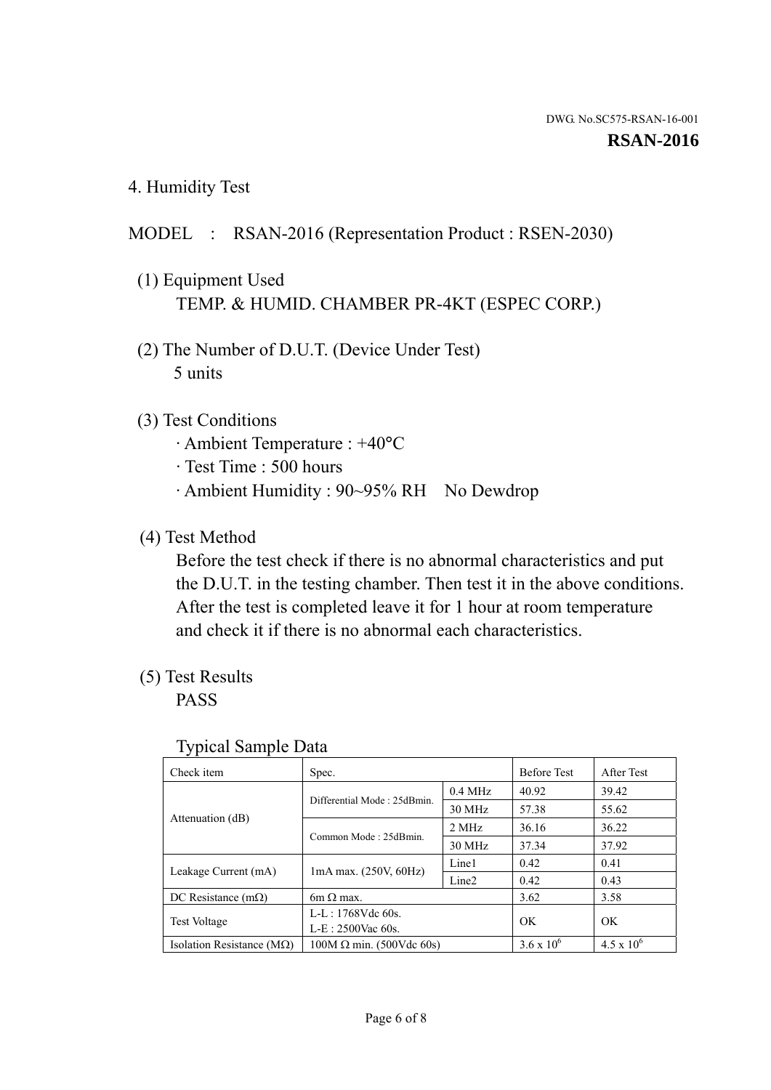4. Humidity Test

### MODEL : RSAN-2016 (Representation Product : RSEN-2030)

- (1) Equipment Used TEMP. & HUMID. CHAMBER PR-4KT (ESPEC CORP.)
- (2) The Number of D.U.T. (Device Under Test) 5 units

#### (3) Test Conditions

- · Ambient Temperature : +40°C
- · Test Time : 500 hours
- · Ambient Humidity : 90~95% RH No Dewdrop

### (4) Test Method

 Before the test check if there is no abnormal characteristics and put the D.U.T. in the testing chamber. Then test it in the above conditions. After the test is completed leave it for 1 hour at room temperature and check it if there is no abnormal each characteristics.

#### (5) Test Results

PASS

| . .                                |                                 |                   |                     |                     |
|------------------------------------|---------------------------------|-------------------|---------------------|---------------------|
| Check item                         | Spec.                           |                   | <b>Before Test</b>  | After Test          |
|                                    | Differential Mode: 25dBmin.     | $0.4$ MHz         | 40.92               | 39.42               |
|                                    |                                 | 30 MHz            | 57.38               | 55.62               |
| Attenuation (dB)                   | Common Mode: 25dBmin.           | 2 MHz             | 36.16               | 36.22               |
|                                    |                                 | 30 MHz            | 37.34               | 37.92               |
|                                    |                                 | Line1             | 0.42                | 0.41                |
| Leakage Current (mA)               | $1mA$ max. $(250V, 60Hz)$       | Line <sub>2</sub> | 0.42                | 0.43                |
| DC Resistance $(m\Omega)$          | $6m \Omega$ max.                |                   | 3.62                | 3.58                |
|                                    | $L-L: 1768Vdc$ 60s.             |                   | OK                  | OK                  |
| <b>Test Voltage</b>                | $L-E: 2500$ Vac 60s.            |                   |                     |                     |
| Isolation Resistance ( $M\Omega$ ) | $100M \Omega$ min. (500Vdc 60s) |                   | $3.6 \times 10^{6}$ | $4.5 \times 10^{6}$ |

#### Typical Sample Data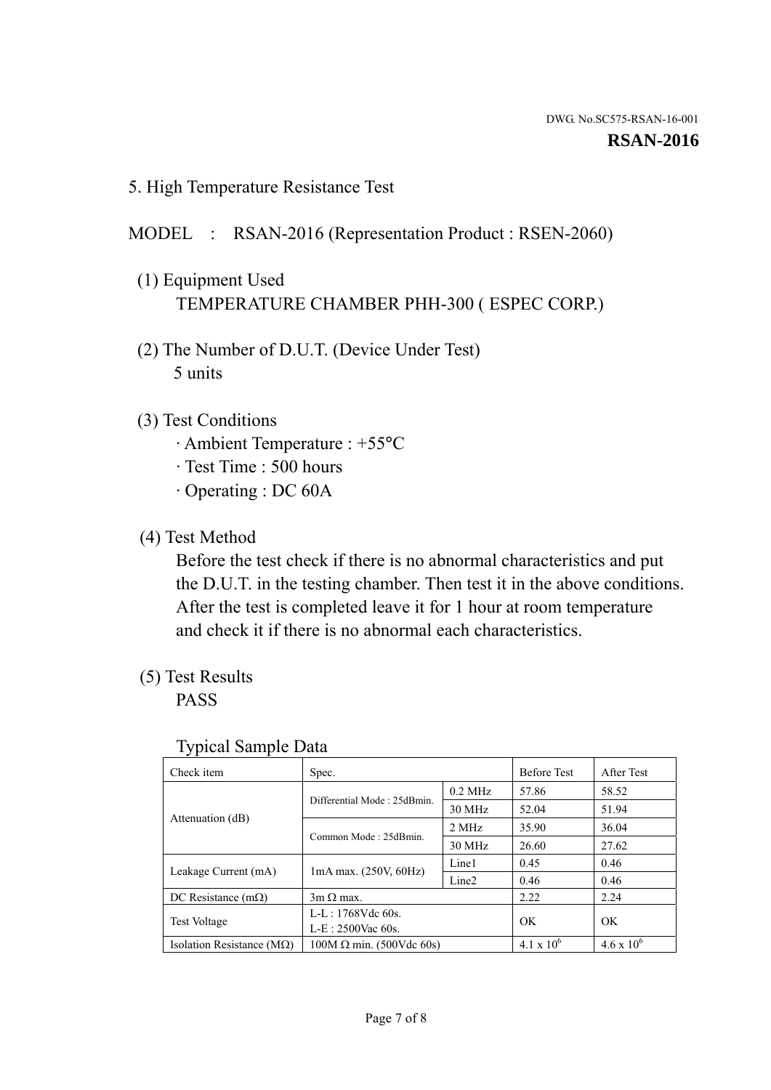5. High Temperature Resistance Test

#### MODEL : RSAN-2016 (Representation Product : RSEN-2060)

- (1) Equipment Used TEMPERATURE CHAMBER PHH-300 ( ESPEC CORP.)
- (2) The Number of D.U.T. (Device Under Test) 5 units
- (3) Test Conditions
	- · Ambient Temperature : +55°C
	- · Test Time : 500 hours
	- · Operating : DC 60A
- (4) Test Method

 Before the test check if there is no abnormal characteristics and put the D.U.T. in the testing chamber. Then test it in the above conditions. After the test is completed leave it for 1 hour at room temperature and check it if there is no abnormal each characteristics.

(5) Test Results

PASS

| ╯┸                                 |                                                         |           |                     |                     |
|------------------------------------|---------------------------------------------------------|-----------|---------------------|---------------------|
| Check item                         | Spec.                                                   |           | <b>Before Test</b>  | After Test          |
|                                    | Differential Mode: 25dBmin.                             | $0.2$ MHz | 57.86               | 58.52               |
|                                    |                                                         | 30 MHz    | 52.04               | 51.94               |
| Attenuation (dB)                   | Common Mode: 25dBmin.                                   | 2 MHz     | 35.90               | 36.04               |
|                                    |                                                         | 30 MHz    | 26.60               | 27.62               |
| Leakage Current (mA)               | Line1<br>$1mA$ max. $(250V, 60Hz)$<br>Line <sub>2</sub> |           | 0.45                | 0.46                |
|                                    |                                                         |           | 0.46                | 0.46                |
| DC Resistance $(m\Omega)$          | $3m \Omega$ max.                                        |           | 2.22                | 2.24                |
| <b>Test Voltage</b>                | $L-L: 1768Vdc$ 60s.                                     |           | OK                  | OK                  |
|                                    | $L-E: 2500$ Vac 60s.                                    |           |                     |                     |
| Isolation Resistance ( $M\Omega$ ) | $100M \Omega$ min. (500Vdc 60s)                         |           | $4.1 \times 10^{6}$ | $4.6 \times 10^{6}$ |

#### Typical Sample Data